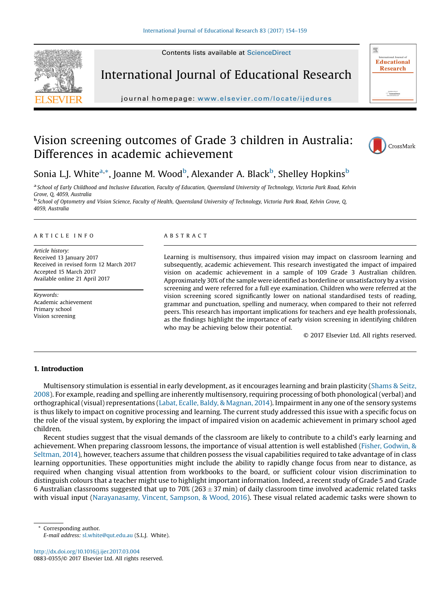Contents lists available at [ScienceDirect](http://www.sciencedirect.com/science/journal/08830355)



International Journal of Educational Research

journal homepage: <www.elsevier.com/locate/ijedures>



# Vision screening outcomes of Grade 3 children in Australia: Differences in academic achievement



Sonia L.J. White<sup>a,\*</sup>, Joanne M. Wood<sup>b</sup>, Alexander A. Black<sup>b</sup>, Shelley Hopkins<sup>b</sup>

a School of Early Childhood and Inclusive Education, Faculty of Education, Queensland University of Technology, Victoria Park Road, Kelvin Grove, Q, 4059, Australia<br><sup>b</sup> School of Optometry and Vision Science, Faculty of Health, Queensland University of Technology, Victoria Park Road, Kelvin Grove, Q,

4059, Australia

#### A R T I C L E I N F O

Article history: Received 13 January 2017 Received in revised form 12 March 2017 Accepted 15 March 2017 Available online 21 April 2017

Keywords: Academic achievement Primary school Vision screening

#### A B S T R A C T

Learning is multisensory, thus impaired vision may impact on classroom learning and subsequently, academic achievement. This research investigated the impact of impaired vision on academic achievement in a sample of 109 Grade 3 Australian children. Approximately 30% of the sample were identified as borderline or unsatisfactory by a vision screening and were referred for a full eye examination. Children who were referred at the vision screening scored significantly lower on national standardised tests of reading, grammar and punctuation, spelling and numeracy, when compared to their not referred peers. This research has important implications for teachers and eye health professionals, as the findings highlight the importance of early vision screening in identifying children who may be achieving below their potential.

© 2017 Elsevier Ltd. All rights reserved.

# 1. Introduction

Multisensory stimulation is essential in early development, as it encourages learning and brain plasticity [\(Shams](#page-5-0) & Seitz, [2008\)](#page-5-0). For example, reading and spelling are inherently multisensory, requiring processing of both phonological (verbal) and orthographical (visual) representations (Labat, Ecalle, Baldy, & [Magnan,](#page-5-0) 2014). Impairment in any one of the sensory systems is thus likely to impact on cognitive processing and learning. The current study addressed this issue with a specific focus on the role of the visual system, by exploring the impact of impaired vision on academic achievement in primary school aged children.

Recent studies suggest that the visual demands of the classroom are likely to contribute to a child's early learning and achievement. When preparing classroom lessons, the importance of visual attention is well established (Fisher, [Godwin,](#page-5-0) & [Seltman,](#page-5-0) 2014), however, teachers assume that children possess the visual capabilities required to take advantage of in class learning opportunities. These opportunities might include the ability to rapidly change focus from near to distance, as required when changing visual attention from workbooks to the board, or sufficient colour vision discrimination to distinguish colours that a teacher might use to highlight important information. Indeed, a recent study of Grade 5 and Grade 6 Australian classrooms suggested that up to 70% (263  $\pm$  37 min) of daily classroom time involved academic related tasks with visual input ([Narayanasamy,](#page-5-0) Vincent, Sampson, & Wood, 2016). These visual related academic tasks were shown to

Corresponding author. E-mail address: [sl.white@qut.edu.au](undefined) (S.L.J. White).

<http://dx.doi.org/10.1016/j.ijer.2017.03.004> 0883-0355/© 2017 Elsevier Ltd. All rights reserved.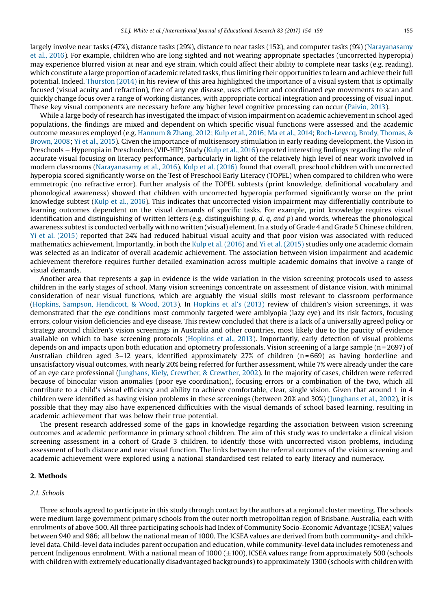largely involve near tasks (47%), distance tasks (29%), distance to near tasks (15%), and computer tasks (9%) [\(Narayanasamy](#page-5-0) et al., [2016](#page-5-0)). For example, children who are long sighted and not wearing appropriate spectacles (uncorrected hyperopia) may experience blurred vision at near and eye strain, which could affect their ability to complete near tasks (e.g. reading), which constitute a large proportion of academic related tasks, thus limiting their opportunities to learn and achieve their full potential. Indeed, [Thurston](#page-5-0) (2014) in his review of this area highlighted the importance of a visual system that is optimally focused (visual acuity and refraction), free of any eye disease, uses efficient and coordinated eye movements to scan and quickly change focus over a range of working distances, with appropriate cortical integration and processing of visual input. These key visual components are necessary before any higher level cognitive processing can occur ([Paivio,](#page-5-0) 2013).

While a large body of research has investigated the impact of vision impairment on academic achievement in school aged populations, the findings are mixed and dependent on which specific visual functions were assessed and the academic outcome measures employed (e.g. [Hannum](#page-5-0) & Zhang, 2012; Kulp et al., 2016; Ma et al., 2014; [Roch-Levecq,](#page-5-0) Brody, Thomas, & [Brown,](#page-5-0) 2008; Yi et al., [2015\)](#page-5-0). Given the importance of multisensory stimulation in early reading development, the Vision in Preschools – Hyperopia in Preschoolers (VIP-HIP) Study (Kulp et al., [2016](#page-5-0)) reported interesting findings regarding the role of accurate visual focusing on literacy performance, particularly in light of the relatively high level of near work involved in modern classrooms ([Narayanasamy](#page-5-0) et al., 2016). Kulp et al. [\(2016\)](#page-5-0) found that overall, preschool children with uncorrected hyperopia scored significantly worse on the Test of Preschool Early Literacy (TOPEL) when compared to children who were emmetropic (no refractive error). Further analysis of the TOPEL subtests (print knowledge, definitional vocabulary and phonological awareness) showed that children with uncorrected hyperopia performed significantly worse on the print knowledge subtest (Kulp et al., [2016](#page-5-0)). This indicates that uncorrected vision impairment may differentially contribute to learning outcomes dependent on the visual demands of specific tasks. For example, print knowledge requires visual identification and distinguishing of written letters (e.g. distinguishing  $p$ ,  $d$ ,  $q$ , and  $p$ ) and words, whereas the phonological awareness subtest is conducted verbally with no written (visual) element. In a study of Grade 4 and Grade 5 Chinese children, Yi et al. [\(2015\)](#page-5-0) reported that 24% had reduced habitual visual acuity and that poor vision was associated with reduced mathematics achievement. Importantly, in both the Kulp et al. [\(2016\)](#page-5-0) and Yi et al. [\(2015\)](#page-5-0) studies only one academic domain was selected as an indicator of overall academic achievement. The association between vision impairment and academic achievement therefore requires further detailed examination across multiple academic domains that involve a range of visual demands.

Another area that represents a gap in evidence is the wide variation in the vision screening protocols used to assess children in the early stages of school. Many vision screenings concentrate on assessment of distance vision, with minimal consideration of near visual functions, which are arguably the visual skills most relevant to classroom performance (Hopkins, Sampson, [Hendicott,](#page-5-0) & Wood, 2013). In [Hopkins](#page-5-0) et al's (2013) review of children's vision screenings, it was demonstrated that the eye conditions most commonly targeted were amblyopia (lazy eye) and its risk factors, focusing errors, colour vision deficiencies and eye disease. This review concluded that there is a lack of a universally agreed policy or strategy around children's vision screenings in Australia and other countries, most likely due to the paucity of evidence available on which to base screening protocols ([Hopkins](#page-5-0) et al., 2013). Importantly, early detection of visual problems depends on and impacts upon both education and optometry professionals. Vision screening of a large sample (n=2697) of Australian children aged 3-12 years, identified approximately 27% of children (n=669) as having borderline and unsatisfactory visual outcomes, with nearly 20% being referred for further assessment, while 7% were already under the care of an eye care professional (Junghans, Kiely, [Crewther,](#page-5-0) & Crewther, 2002). In the majority of cases, children were referred because of binocular vision anomalies (poor eye coordination), focusing errors or a combination of the two, which all contribute to a child's visual efficiency and ability to achieve comfortable, clear, single vision. Given that around 1 in 4 children were identified as having vision problems in these screenings (between 20% and 30%) [\(Junghans](#page-5-0) et al., 2002), it is possible that they may also have experienced difficulties with the visual demands of school based learning, resulting in academic achievement that was below their true potential.

The present research addressed some of the gaps in knowledge regarding the association between vision screening outcomes and academic performance in primary school children. The aim of this study was to undertake a clinical vision screening assessment in a cohort of Grade 3 children, to identify those with uncorrected vision problems, including assessment of both distance and near visual function. The links between the referral outcomes of the vision screening and academic achievement were explored using a national standardised test related to early literacy and numeracy.

# 2. Methods

# 2.1. Schools

Three schools agreed to participate in this study through contact by the authors at a regional cluster meeting. The schools were medium large government primary schools from the outer north metropolitan region of Brisbane, Australia, each with enrolments of above 500. All three participating schools had Index of Community Socio-Economic Advantage (ICSEA) values between 940 and 986; all below the national mean of 1000. The ICSEA values are derived from both community- and childlevel data. Child-level data includes parent occupation and education, while community-level data includes remoteness and percent Indigenous enrolment. With a national mean of  $1000 (\pm 100)$ , ICSEA values range from approximately 500 (schools with children with extremely educationally disadvantaged backgrounds) to approximately 1300 (schools with children with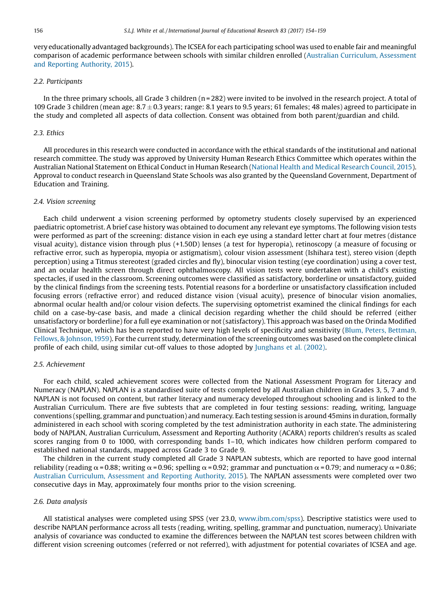very educationally advantaged backgrounds). The ICSEA for each participating school was used to enable fair and meaningful comparison of academic performance between schools with similar children enrolled (Australian [Curriculum,](#page-5-0) Assessment and Reporting [Authority,](#page-5-0) 2015).

# 2.2. Participants

In the three primary schools, all Grade 3 children  $(n = 282)$  were invited to be involved in the research project. A total of 109 Grade 3 children (mean age:  $8.7 \pm 0.3$  years; range: 8.1 years to 9.5 years; 61 females; 48 males) agreed to participate in the study and completed all aspects of data collection. Consent was obtained from both parent/guardian and child.

# 2.3. Ethics

All procedures in this research were conducted in accordance with the ethical standards of the institutional and national research committee. The study was approved by University Human Research Ethics Committee which operates within the Australian National Statement on Ethical Conduct in Human Research (National Health and Medical [Research](#page-5-0) Council, 2015). Approval to conduct research in Queensland State Schools was also granted by the Queensland Government, Department of Education and Training.

# 2.4. Vision screening

Each child underwent a vision screening performed by optometry students closely supervised by an experienced paediatric optometrist. A brief case history was obtained to document any relevant eye symptoms. The following vision tests were performed as part of the screening: distance vision in each eye using a standard letter chart at four metres (distance visual acuity), distance vision through plus (+1.50D) lenses (a test for hyperopia), retinoscopy (a measure of focusing or refractive error, such as hyperopia, myopia or astigmatism), colour vision assessment (Ishihara test), stereo vision (depth perception) using a Titmus stereotest (graded circles and fly), binocular vision testing (eye coordination) using a cover test, and an ocular health screen through direct ophthalmoscopy. All vision tests were undertaken with a child's existing spectacles, if used in the classroom. Screening outcomes were classified as satisfactory, borderline or unsatisfactory, guided by the clinical findings from the screening tests. Potential reasons for a borderline or unsatisfactory classification included focusing errors (refractive error) and reduced distance vision (visual acuity), presence of binocular vision anomalies, abnormal ocular health and/or colour vision defects. The supervising optometrist examined the clinical findings for each child on a case-by-case basis, and made a clinical decision regarding whether the child should be referred (either unsatisfactory or borderline) for a full eye examination or not(satisfactory). This approach was based on the Orinda Modified Clinical Technique, which has been reported to have very high levels of specificity and sensitivity (Blum, Peters, [Bettman,](#page-5-0) Fellows,& [Johnson,1959](#page-5-0)). For the current study, determination of the screening outcomes was based on the complete clinical profile of each child, using similar cut-off values to those adopted by [Junghans](#page-5-0) et al. (2002).

# 2.5. Achievement

For each child, scaled achievement scores were collected from the National Assessment Program for Literacy and Numeracy (NAPLAN). NAPLAN is a standardised suite of tests completed by all Australian children in Grades 3, 5, 7 and 9. NAPLAN is not focused on content, but rather literacy and numeracy developed throughout schooling and is linked to the Australian Curriculum. There are five subtests that are completed in four testing sessions: reading, writing, language conventions (spelling, grammar and punctuation) and numeracy. Each testing session is around 45mins in duration, formally administered in each school with scoring completed by the test administration authority in each state. The administering body of NAPLAN, Australian Curriculum, Assessment and Reporting Authority (ACARA) reports children's results as scaled scores ranging from 0 to 1000, with corresponding bands 1–10, which indicates how children perform compared to established national standards, mapped across Grade 3 to Grade 9.

The children in the current study completed all Grade 3 NAPLAN subtests, which are reported to have good internal reliability (reading  $\alpha$  = 0.88; writing  $\alpha$  = 0.96; spelling  $\alpha$  = 0.92; grammar and punctuation  $\alpha$  = 0.79; and numeracy  $\alpha$  = 0.86; Australian [Curriculum,](#page-5-0) Assessment and Reporting Authority, 2015). The NAPLAN assessments were completed over two consecutive days in May, approximately four months prior to the vision screening.

# 2.6. Data analysis

All statistical analyses were completed using SPSS (ver 23.0, [www.ibm.com/spss](http://www.ibm.com/spss)). Descriptive statistics were used to describe NAPLAN performance across all tests (reading, writing, spelling, grammar and punctuation, numeracy). Univariate analysis of covariance was conducted to examine the differences between the NAPLAN test scores between children with different vision screening outcomes (referred or not referred), with adjustment for potential covariates of ICSEA and age.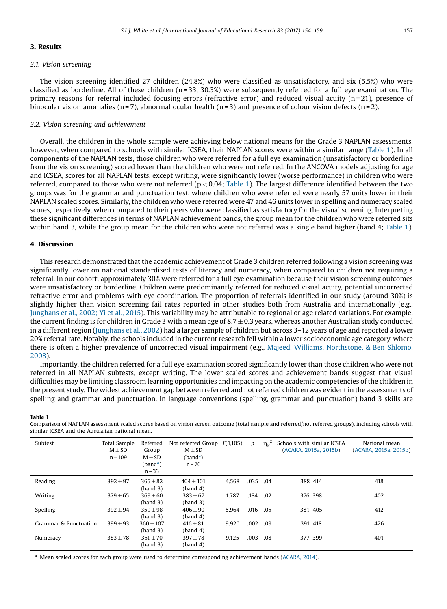# 3. Results

## 3.1. Vision screening

The vision screening identified 27 children (24.8%) who were classified as unsatisfactory, and six (5.5%) who were classified as borderline. All of these children  $(n=33, 30.3%)$  were subsequently referred for a full eye examination. The primary reasons for referral included focusing errors (refractive error) and reduced visual acuity ( $n = 21$ ), presence of binocular vision anomalies (n=7), abnormal ocular health (n=3) and presence of colour vision defects (n=2).

### 3.2. Vision screening and achievement

Overall, the children in the whole sample were achieving below national means for the Grade 3 NAPLAN assessments, however, when compared to schools with similar ICSEA, their NAPLAN scores were within a similar range (Table 1). In all components of the NAPLAN tests, those children who were referred for a full eye examination (unsatisfactory or borderline from the vision screening) scored lower than the children who were not referred. In the ANCOVA models adjusting for age and ICSEA, scores for all NAPLAN tests, except writing, were significantly lower (worse performance) in children who were referred, compared to those who were not referred  $(p < 0.04$ ; Table 1). The largest difference identified between the two groups was for the grammar and punctuation test, where children who were referred were nearly 57 units lower in their NAPLAN scaled scores. Similarly, the children who were referred were 47 and 46 units lower in spelling and numeracy scaled scores, respectively, when compared to their peers who were classified as satisfactory for the visual screening. Interpreting these significant differences in terms of NAPLAN achievement bands, the group mean for the children who were referred sits within band 3, while the group mean for the children who were not referred was a single band higher (band 4; Table 1).

# 4. Discussion

This research demonstrated that the academic achievement of Grade 3 children referred following a vision screening was significantly lower on national standardised tests of literacy and numeracy, when compared to children not requiring a referral. In our cohort, approximately 30% were referred for a full eye examination because their vision screening outcomes were unsatisfactory or borderline. Children were predominantly referred for reduced visual acuity, potential uncorrected refractive error and problems with eye coordination. The proportion of referrals identified in our study (around 30%) is slightly higher than vision screening fail rates reported in other studies both from Australia and internationally (e.g., [Junghans](#page-5-0) et al., 2002; Yi et al., 2015). This variability may be attributable to regional or age related variations. For example, the current finding is for children in Grade 3 with a mean age of  $8.7 \pm 0.3$  years, whereas another Australian study conducted in a different region [\(Junghans](#page-5-0) et al., 2002) had a larger sample of children but across 3–12 years of age and reported a lower 20% referral rate. Notably, the schools included in the current research fell within a lower socioeconomic age category, where there is often a higher prevalence of uncorrected visual impairment (e.g., Majeed, Williams, Northstone, & [Ben-Shlomo,](#page-5-0) [2008](#page-5-0)).

Importantly, the children referred for a full eye examination scored significantly lower than those children who were not referred in all NAPLAN subtests, except writing. The lower scaled scores and achievement bands suggest that visual difficulties may be limiting classroom learning opportunities and impacting on the academic competencies of the children in the present study. The widest achievement gap between referred and not referred children was evidentin the assessments of spelling and grammar and punctuation. In language conventions (spelling, grammar and punctuation) band 3 skills are

#### Table 1

Comparison of NAPLAN assessment scaled scores based on vision screen outcome (total sample and referred/not referred groups), including schools with similar ICSEA and the Australian national mean.

| Subtest                          | Total Sample<br>$M \pm SD$<br>$n = 109$ | Referred<br>Group<br>$M \pm SD$<br>(band <sup>a</sup> )<br>$n = 33$ | Not referred Group $F(1,105)$<br>$M \pm SD$<br>(band <sup>a</sup> )<br>$n = 76$ |       | p    | $\eta_{\rm p}^2$ | Schools with similar ICSEA<br>(ACARA, 2015a, 2015b) | National mean<br>(ACARA, 2015a, 2015b) |
|----------------------------------|-----------------------------------------|---------------------------------------------------------------------|---------------------------------------------------------------------------------|-------|------|------------------|-----------------------------------------------------|----------------------------------------|
| Reading                          | $392 \pm 97$                            | $365 \pm 82$<br>(band 3)                                            | $404 + 101$<br>(band 4)                                                         | 4.568 | .035 | .04              | 388-414                                             | 418                                    |
| Writing                          | $379 \pm 65$                            | $369 \pm 60$<br>(band 3)                                            | $383 \pm 67$<br>(band 3)                                                        | 1.787 | .184 | .02              | 376-398                                             | 402                                    |
| Spelling                         | $392 \pm 94$                            | $359 \pm 98$                                                        | $406 \pm 90$                                                                    | 5.964 | .016 | .05              | 381-405                                             | 412                                    |
| <b>Grammar &amp; Punctuation</b> | $399 \pm 93$                            | (band 3)<br>$360 \pm 107$                                           | (band 4)<br>$416 \pm 81$                                                        | 9.920 | .002 | .09              | 391-418                                             | 426                                    |
| Numeracy                         | $383 + 78$                              | (band 3)<br>$351 \pm 70$<br>(band 3)                                | (band 4)<br>$397 + 78$<br>(band 4)                                              | 9.125 | .003 | .08              | 377-399                                             | 401                                    |

<sup>a</sup> Mean scaled scores for each group were used to determine corresponding achievement bands ([ACARA,](#page-5-0) 2014).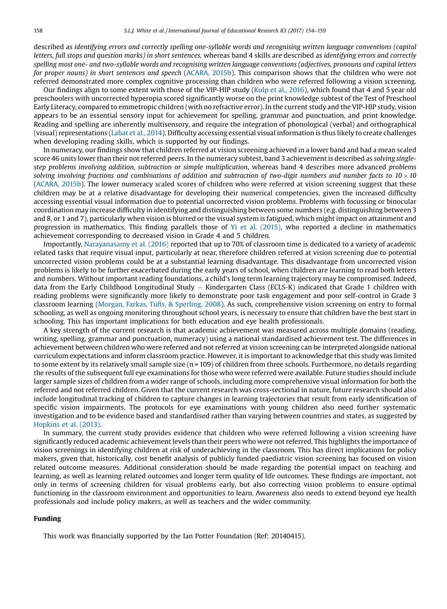described as identifying errors and correctly spelling one-syllable words and recognising written language conventions (capital letters, full stops and question marks) in short sentences, whereas band 4 skills are described as identifying errors and correctly spelling most one- and two-syllable words and recognising written language conventions (adjectives, pronouns and capital letters for proper nouns) in short sentences and speech [\(ACARA,](#page-5-0) 2015b). This comparison shows that the children who were not referred demonstrated more complex cognitive processing than children who were referred following a vision screening.

Our findings align to some extent with those of the VIP-HIP study (Kulp et al., [2016\)](#page-5-0), which found that 4 and 5 year old preschoolers with uncorrected hyperopia scored significantly worse on the print knowledge subtest of the Test of Preschool Early Literacy, compared to emmetropic children (with no refractive error). In the current study and the VIP-HIP study, vision appears to be an essential sensory input for achievement for spelling, grammar and punctuation, and print knowledge. Reading and spelling are inherently multisensory, and require the integration of phonological (verbal) and orthographical (visual) representations ([Labat](#page-5-0) et al., 2014). Difficulty accessing essential visual information is thus likely to create challenges when developing reading skills, which is supported by our findings.

In numeracy, our findings show that children referred at vision screening achieved in a lower band and had a mean scaled score 46 units lower than their not referred peers. In the numeracy subtest, band 3 achievement is described as solving singlestep problems involving addition, subtraction or simple multiplication, whereas band 4 describes more advanced problems solving involving fractions and combinations of addition and subtraction of two-digit numbers and number facts to  $10 \times 10$ [\(ACARA,](#page-5-0) 2015b). The lower numeracy scaled scores of children who were referred at vision screening suggest that these children may be at a relative disadvantage for developing their numerical competencies, given the increased difficulty accessing essential visual information due to potential uncorrected vision problems. Problems with focussing or binocular coordination may increase difficulty in identifying and distinguishing between some numbers (e.g. distinguishing between 3 and 8, or 1 and 7), particularly when vision is blurred or the visual system is fatigued, which might impact on attainment and progression in mathematics. This finding parallels those of Yi et al. [\(2015\)](#page-5-0), who reported a decline in mathematics achievement corresponding to decreased vision in Grade 4 and 5 children.

Importantly, [Narayanasamy](#page-5-0) et al. (2016) reported that up to 70% of classroom time is dedicated to a variety of academic related tasks that require visual input, particularly at near, therefore children referred at vision screening due to potential uncorrected vision problems could be at a substantial learning disadvantage. This disadvantage from uncorrected vision problems is likely to be further exacerbated during the early years of school, when children are learning to read both letters and numbers. Without important reading foundations, a child's long term learning trajectory may be compromised. Indeed, data from the Early Childhood Longitudinal Study – Kindergarten Class (ECLS-K) indicated that Grade 1 children with reading problems were significantly more likely to demonstrate poor task engagement and poor self-control in Grade 3 classroom learning (Morgan, Farkas, Tufis, & [Sperling,](#page-5-0) 2008). As such, comprehensive vision screening on entry to formal schooling, as well as ongoing monitoring throughout school years, is necessary to ensure that children have the best start in schooling. This has important implications for both education and eye health professionals.

A key strength of the current research is that academic achievement was measured across multiple domains (reading, writing, spelling, grammar and punctuation, numeracy) using a national standardised achievement test. The differences in achievement between children who were referred and not referred at vision screening can be interpreted alongside national curriculum expectations and inform classroom practice. However, it is important to acknowledge that this study was limited to some extent by its relatively small sample size ( $n = 109$ ) of children from three schools. Furthermore, no details regarding the results of the subsequent full eye examinations for those who were referred were available. Future studies should include larger sample sizes of children from a wider range of schools, including more comprehensive visual information for both the referred and not referred children. Given that the current research was cross-sectional in nature, future research should also include longitudinal tracking of children to capture changes in learning trajectories that result from early identification of specific vision impairments. The protocols for eye examinations with young children also need further systematic investigation and to be evidence based and standardised rather than varying between countries and states, as suggested by [Hopkins](#page-5-0) et al. (2013).

In summary, the current study provides evidence that children who were referred following a vision screening have significantly reduced academic achievement levels than their peers who were not referred. This highlights the importance of vision screenings in identifying children at risk of underachieving in the classroom. This has direct implications for policy makers, given that, historically, cost benefit analysis of publicly funded paediatric vision screening has focused on vision related outcome measures. Additional consideration should be made regarding the potential impact on teaching and learning, as well as learning related outcomes and longer term quality of life outcomes. These findings are important, not only in terms of screening children for visual problems early, but also correcting vision problems to ensure optimal functioning in the classroom environment and opportunities to learn. Awareness also needs to extend beyond eye health professionals and include policy makers, as well as teachers and the wider community.

# Funding

This work was financially supported by the Ian Potter Foundation (Ref: 20140415).